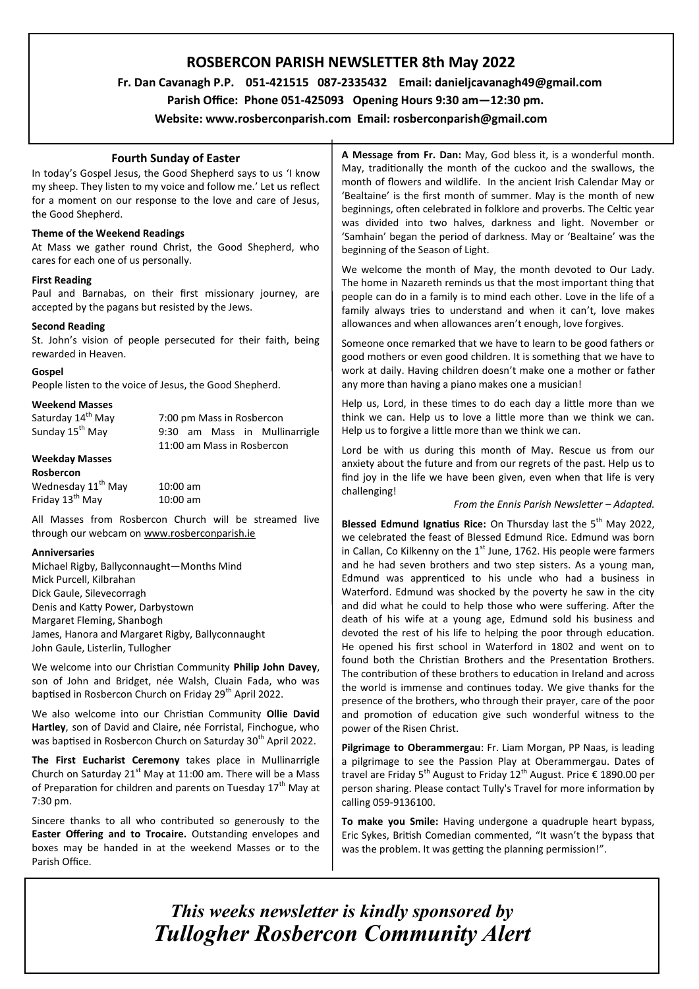# **ROSBERCON PARISH NEWSLETTER 8th May 2022**

 **Fr. Dan Cavanagh P.P. 051-421515 087-2335432 Email: danieljcavanagh49@gmail.com**

 **Parish Office: Phone 051-425093****Opening Hours 9:30 am—12:30 pm.**

**Website: www.rosberconparish.com Email: rosberconparish@gmail.com**

## **Fourth Sunday of Easter**

In today's Gospel Jesus, the Good Shepherd says to us 'I know my sheep. They listen to my voice and follow me.' Let us reflect for a moment on our response to the love and care of Jesus, the Good Shepherd.

## **Theme of the Weekend Readings**

At Mass we gather round Christ, the Good Shepherd, who cares for each one of us personally.

## **First Reading**

Paul and Barnabas, on their first missionary journey, are accepted by the pagans but resisted by the Jews.

### **Second Reading**

St. John's vision of people persecuted for their faith, being rewarded in Heaven.

### **Gospel**

People listen to the voice of Jesus, the Good Shepherd.

## **Weekend Masses**

| Saturday 14 <sup>th</sup> May |                            | 7:00 pm Mass in Rosbercon |  |  |                               |
|-------------------------------|----------------------------|---------------------------|--|--|-------------------------------|
| Sunday 15 <sup>th</sup> May   |                            |                           |  |  | 9:30 am Mass in Mullinarrigle |
|                               | 11:00 am Mass in Rosbercon |                           |  |  |                               |
| <b>Weekday Masses</b>         |                            |                           |  |  |                               |
|                               |                            |                           |  |  |                               |

### **Rosbercon**

| Wednesday 11 <sup>th</sup> May | $10:00$ am |
|--------------------------------|------------|
| Friday 13 <sup>th</sup> May    | $10:00$ am |

All Masses from Rosbercon Church will be streamed live through our webcam on [www.rosberconparish.ie](http://www.rosberconparish.ie/)

### **Anniversaries**

Michael Rigby, Ballyconnaught—Months Mind Mick Purcell, Kilbrahan Dick Gaule, Silevecorragh Denis and Katty Power, Darbystown Margaret Fleming, Shanbogh James, Hanora and Margaret Rigby, Ballyconnaught John Gaule, Listerlin, Tullogher

We welcome into our Christian Community **Philip John Davey**, son of John and Bridget, née Walsh, Cluain Fada, who was baptised in Rosbercon Church on Friday 29<sup>th</sup> April 2022.

We also welcome into our Christian Community **Ollie David Hartley**, son of David and Claire, née Forristal, Finchogue, who was baptised in Rosbercon Church on Saturday 30<sup>th</sup> April 2022.

**The First Eucharist Ceremony** takes place in Mullinarrigle Church on Saturday  $21<sup>st</sup>$  May at 11:00 am. There will be a Mass of Preparation for children and parents on Tuesday  $17<sup>th</sup>$  May at 7:30 pm.

Sincere thanks to all who contributed so generously to the **Easter Offering and to Trocaire.** Outstanding envelopes and boxes may be handed in at the weekend Masses or to the Parish Office.

**A Message from Fr. Dan:** May, God bless it, is a wonderful month. May, traditionally the month of the cuckoo and the swallows, the month of flowers and wildlife. In the ancient Irish Calendar May or 'Bealtaine' is the first month of summer. May is the month of new beginnings, often celebrated in folklore and proverbs. The Celtic year was divided into two halves, darkness and light. November or 'Samhain' began the period of darkness. May or 'Bealtaine' was the beginning of the Season of Light.

We welcome the month of May, the month devoted to Our Lady. The home in Nazareth reminds us that the most important thing that people can do in a family is to mind each other. Love in the life of a family always tries to understand and when it can't, love makes allowances and when allowances aren't enough, love forgives.

Someone once remarked that we have to learn to be good fathers or good mothers or even good children. It is something that we have to work at daily. Having children doesn't make one a mother or father any more than having a piano makes one a musician!

Help us, Lord, in these times to do each day a little more than we think we can. Help us to love a little more than we think we can. Help us to forgive a little more than we think we can.

Lord be with us during this month of May. Rescue us from our anxiety about the future and from our regrets of the past. Help us to find joy in the life we have been given, even when that life is very challenging!

## *From the Ennis Parish Newsletter – Adapted.*

**Blessed Edmund Ignatius Rice:** On Thursday last the 5<sup>th</sup> May 2022, we celebrated the feast of Blessed Edmund Rice. Edmund was born in Callan, Co Kilkenny on the  $1<sup>st</sup>$  June, 1762. His people were farmers and he had seven brothers and two step sisters. As a young man, Edmund was apprenticed to his uncle who had a business in Waterford. Edmund was shocked by the poverty he saw in the city and did what he could to help those who were suffering. After the death of his wife at a young age, Edmund sold his business and devoted the rest of his life to helping the poor through education. He opened his first school in Waterford in 1802 and went on to found both the Christian Brothers and the Presentation Brothers. The contribution of these brothers to education in Ireland and across the world is immense and continues today. We give thanks for the presence of the brothers, who through their prayer, care of the poor and promotion of education give such wonderful witness to the power of the Risen Christ.

**Pilgrimage to Oberammergau**: Fr. Liam Morgan, PP Naas, is leading a pilgrimage to see the Passion Play at Oberammergau. Dates of travel are Friday 5<sup>th</sup> August to Friday 12<sup>th</sup> August. Price  $\epsilon$  1890.00 per person sharing. Please contact Tully's Travel for more information by calling 059-9136100.

**To make you Smile:** Having undergone a quadruple heart bypass, Eric Sykes, British Comedian commented, "It wasn't the bypass that was the problem. It was getting the planning permission!".

*This weeks newsletter is kindly sponsored by Tullogher Rosbercon Community Alert*